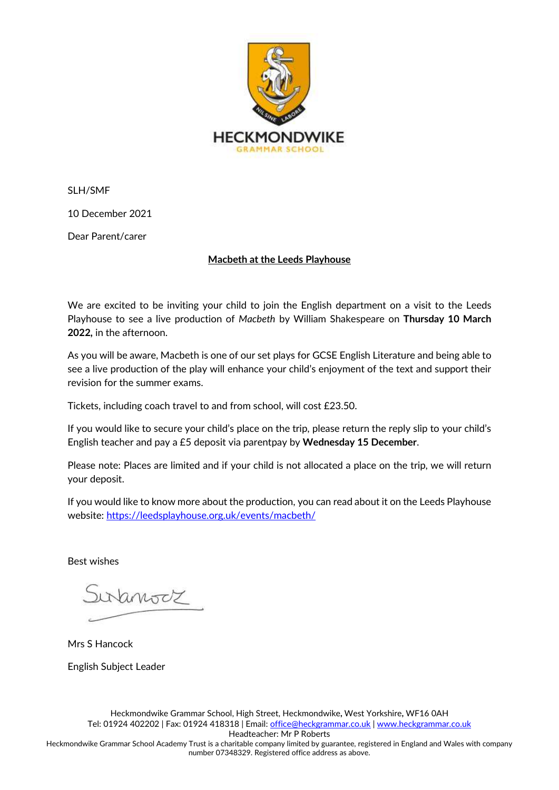

SLH/SMF

10 December 2021

Dear Parent/carer

## **Macbeth at the Leeds Playhouse**

We are excited to be inviting your child to join the English department on a visit to the Leeds Playhouse to see a live production of *Macbeth* by William Shakespeare on **Thursday 10 March 2022,** in the afternoon.

As you will be aware, Macbeth is one of our set plays for GCSE English Literature and being able to see a live production of the play will enhance your child's enjoyment of the text and support their revision for the summer exams.

Tickets, including coach travel to and from school, will cost £23.50.

If you would like to secure your child's place on the trip, please return the reply slip to your child's English teacher and pay a £5 deposit via parentpay by **Wednesday 15 December**.

Please note: Places are limited and if your child is not allocated a place on the trip, we will return your deposit.

If you would like to know more about the production, you can read about it on the Leeds Playhouse website:<https://leedsplayhouse.org.uk/events/macbeth/>

Best wishes

urlanocz

Mrs S Hancock

English Subject Leader